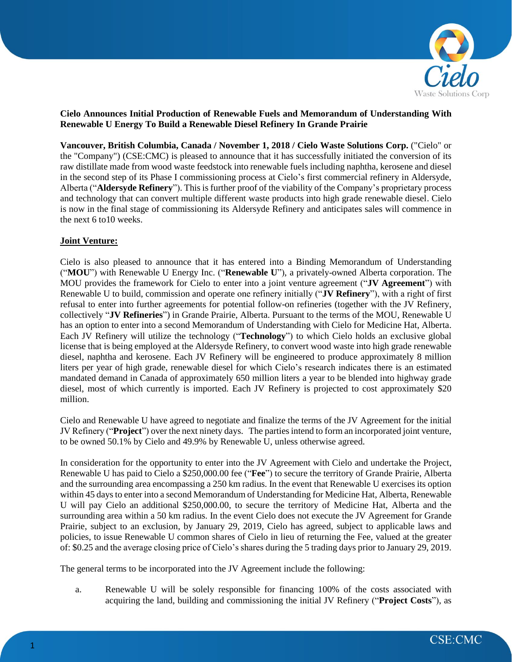

# **Cielo Announces Initial Production of Renewable Fuels and Memorandum of Understanding With Renewable U Energy To Build a Renewable Diesel Refinery In Grande Prairie**

**Vancouver, British Columbia, Canada / November 1, 2018 / Cielo Waste Solutions Corp.** ("Cielo" or the "Company") (CSE:CMC) is pleased to announce that it has successfully initiated the conversion of its raw distillate made from wood waste feedstock into renewable fuels including naphtha, kerosene and diesel in the second step of its Phase I commissioning process at Cielo's first commercial refinery in Aldersyde, Alberta ("**Aldersyde Refinery**"). This is further proof of the viability of the Company's proprietary process and technology that can convert multiple different waste products into high grade renewable diesel. Cielo is now in the final stage of commissioning its Aldersyde Refinery and anticipates sales will commence in the next 6 to10 weeks.

# **Joint Venture:**

Cielo is also pleased to announce that it has entered into a Binding Memorandum of Understanding ("**MOU**") with Renewable U Energy Inc. ("**Renewable U**"), a privately-owned Alberta corporation. The MOU provides the framework for Cielo to enter into a joint venture agreement ("**JV Agreement**") with Renewable U to build, commission and operate one refinery initially ("**JV Refinery**"), with a right of first refusal to enter into further agreements for potential follow-on refineries (together with the JV Refinery, collectively "**JV Refineries**") in Grande Prairie, Alberta. Pursuant to the terms of the MOU, Renewable U has an option to enter into a second Memorandum of Understanding with Cielo for Medicine Hat, Alberta. Each JV Refinery will utilize the technology ("**Technology**") to which Cielo holds an exclusive global license that is being employed at the Aldersyde Refinery, to convert wood waste into high grade renewable diesel, naphtha and kerosene. Each JV Refinery will be engineered to produce approximately 8 million liters per year of high grade, renewable diesel for which Cielo's research indicates there is an estimated mandated demand in Canada of approximately 650 million liters a year to be blended into highway grade diesel, most of which currently is imported. Each JV Refinery is projected to cost approximately \$20 million.

Cielo and Renewable U have agreed to negotiate and finalize the terms of the JV Agreement for the initial JV Refinery ("**Project**") over the next ninety days. The parties intend to form an incorporated joint venture, to be owned 50.1% by Cielo and 49.9% by Renewable U, unless otherwise agreed.

In consideration for the opportunity to enter into the JV Agreement with Cielo and undertake the Project, Renewable U has paid to Cielo a \$250,000.00 fee ("**Fee**") to secure the territory of Grande Prairie, Alberta and the surrounding area encompassing a 250 km radius. In the event that Renewable U exercises its option within 45 days to enter into a second Memorandum of Understanding for Medicine Hat, Alberta, Renewable U will pay Cielo an additional \$250,000.00, to secure the territory of Medicine Hat, Alberta and the surrounding area within a 50 km radius. In the event Cielo does not execute the JV Agreement for Grande Prairie, subject to an exclusion, by January 29, 2019, Cielo has agreed, subject to applicable laws and policies, to issue Renewable U common shares of Cielo in lieu of returning the Fee, valued at the greater of: \$0.25 and the average closing price of Cielo's shares during the 5 trading days prior to January 29, 2019.

The general terms to be incorporated into the JV Agreement include the following:

a. Renewable U will be solely responsible for financing 100% of the costs associated with acquiring the land, building and commissioning the initial JV Refinery ("**Project Costs**"), as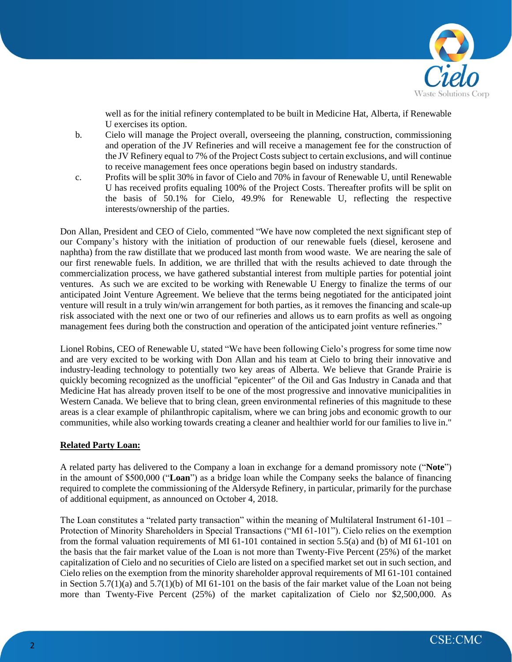

well as for the initial refinery contemplated to be built in Medicine Hat, Alberta, if Renewable U exercises its option.

- b. Cielo will manage the Project overall, overseeing the planning, construction, commissioning and operation of the JV Refineries and will receive a management fee for the construction of the JV Refinery equal to 7% of the Project Costs subject to certain exclusions, and will continue to receive management fees once operations begin based on industry standards.
- c. Profits will be split 30% in favor of Cielo and 70% in favour of Renewable U, until Renewable U has received profits equaling 100% of the Project Costs. Thereafter profits will be split on the basis of 50.1% for Cielo, 49.9% for Renewable U, reflecting the respective interests/ownership of the parties.

Don Allan, President and CEO of Cielo, commented "We have now completed the next significant step of our Company's history with the initiation of production of our renewable fuels (diesel, kerosene and naphtha) from the raw distillate that we produced last month from wood waste. We are nearing the sale of our first renewable fuels. In addition, we are thrilled that with the results achieved to date through the commercialization process, we have gathered substantial interest from multiple parties for potential joint ventures. As such we are excited to be working with Renewable U Energy to finalize the terms of our anticipated Joint Venture Agreement. We believe that the terms being negotiated for the anticipated joint venture will result in a truly win/win arrangement for both parties, as it removes the financing and scale-up risk associated with the next one or two of our refineries and allows us to earn profits as well as ongoing management fees during both the construction and operation of the anticipated joint venture refineries."

Lionel Robins, CEO of Renewable U, stated "We have been following Cielo's progress for some time now and are very excited to be working with Don Allan and his team at Cielo to bring their innovative and industry-leading technology to potentially two key areas of Alberta. We believe that Grande Prairie is quickly becoming recognized as the unofficial "epicenter" of the Oil and Gas Industry in Canada and that Medicine Hat has already proven itself to be one of the most progressive and innovative municipalities in Western Canada. We believe that to bring clean, green environmental refineries of this magnitude to these areas is a clear example of philanthropic capitalism, where we can bring jobs and economic growth to our communities, while also working towards creating a cleaner and healthier world for our families to live in."

## **Related Party Loan:**

A related party has delivered to the Company a loan in exchange for a demand promissory note ("**Note**") in the amount of \$500,000 ("**Loan**") as a bridge loan while the Company seeks the balance of financing required to complete the commissioning of the Aldersyde Refinery, in particular, primarily for the purchase of additional equipment, as announced on October 4, 2018.

The Loan constitutes a "related party transaction" within the meaning of Multilateral Instrument 61-101 – Protection of Minority Shareholders in Special Transactions ("MI 61-101"). Cielo relies on the exemption from the formal valuation requirements of MI 61-101 contained in section 5.5(a) and (b) of MI 61-101 on the basis that the fair market value of the Loan is not more than Twenty-Five Percent (25%) of the market capitalization of Cielo and no securities of Cielo are listed on a specified market set out in such section, and Cielo relies on the exemption from the minority shareholder approval requirements of MI 61-101 contained in Section  $5.7(1)(a)$  and  $5.7(1)(b)$  of MI 61-101 on the basis of the fair market value of the Loan not being more than Twenty-Five Percent (25%) of the market capitalization of Cielo nor \$2,500,000. As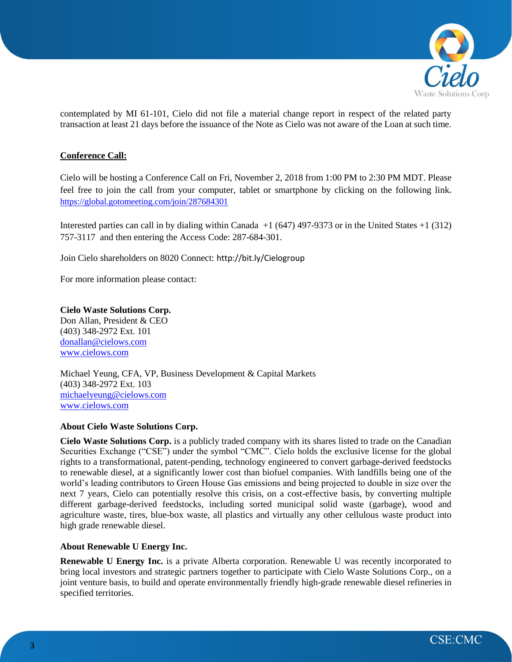

contemplated by MI 61-101, Cielo did not file a material change report in respect of the related party transaction at least 21 days before the issuance of the Note as Cielo was not aware of the Loan at such time.

# **Conference Call:**

Cielo will be hosting a Conference Call on Fri, November 2, 2018 from 1:00 PM to 2:30 PM MDT. Please feel free to join the call from your computer, tablet or smartphone by clicking on the following link**.**  <https://global.gotomeeting.com/join/287684301>

Interested parties can call in by dialing within Canada [+1 \(647\) 497-9373](tel:+16474979373,,287684301) or in the United State[s +1 \(312\)](tel:+13127573117,,287684301)  [757-3117](tel:+13127573117,,287684301) and then entering the Access Code: 287-684-301.

Join Cielo shareholders on 8020 Connect: <http://bit.ly/Cielogroup>

For more information please contact:

**Cielo Waste Solutions Corp.** Don Allan, President & CEO (403) 348-2972 Ext. 101 [donallan@cielows.com](mailto:donallan@cielows.com) [www.cielows.com](http://www.cielows.com/)

Michael Yeung, CFA, VP, Business Development & Capital Markets (403) 348-2972 Ext. 103 [michaelyeung@cielows.com](mailto:michaelyeung@cielows.com) [www.cielows.com](http://www.cielows.com/)

## **About Cielo Waste Solutions Corp.**

**Cielo Waste Solutions Corp.** is a publicly traded company with its shares listed to trade on the Canadian Securities Exchange ("CSE") under the symbol "CMC". Cielo holds the exclusive license for the global rights to a transformational, patent-pending, technology engineered to convert garbage-derived feedstocks to renewable diesel, at a significantly lower cost than biofuel companies. With landfills being one of the world's leading contributors to Green House Gas emissions and being projected to double in size over the next 7 years, Cielo can potentially resolve this crisis, on a cost-effective basis, by converting multiple different garbage-derived feedstocks, including sorted municipal solid waste (garbage), wood and agriculture waste, tires, blue-box waste, all plastics and virtually any other cellulous waste product into high grade renewable diesel.

## **About Renewable U Energy Inc.**

**Renewable U Energy Inc.** is a private Alberta corporation. Renewable U was recently incorporated to bring local investors and strategic partners together to participate with Cielo Waste Solutions Corp., on a joint venture basis, to build and operate environmentally friendly high-grade renewable diesel refineries in specified territories.